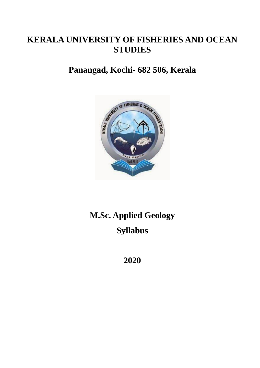# **KERALA UNIVERSITY OF FISHERIES AND OCEAN STUDIES**

# **Panangad, Kochi- 682 506, Kerala**



# **M.Sc. Applied Geology Syllabus**

**2020**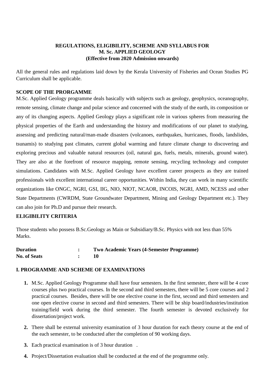### **REGULATIONS, ELIGIBILITY, SCHEME AND SYLLABUS FOR M. Sc. APPLIED GEOLOGY (Effective from 2020 Admission onwards)**

All the general rules and regulations laid down by the Kerala University of Fisheries and Ocean Studies PG Curriculum shall be applicable.

#### **SCOPE OF THE PRORGAMME**

M.Sc. Applied Geology programme deals basically with subjects such as geology, geophysics, oceanography, remote sensing, climate change and polar science and concerned with the study of the earth, its composition or any of its changing aspects. Applied Geology plays a significant role in various spheres from measuring the physical properties of the Earth and understanding the history and modifications of our planet to studying, assessing and predicting natural/man-made disasters (volcanoes, earthquakes, hurricanes, floods, landslides, tsunamis) to studying past climates, current global warming and future climate change to discovering and exploring precious and valuable natural resources (oil, natural gas, fuels, metals, minerals, ground water). They are also at the forefront of resource mapping, remote sensing, recycling technology and computer simulations. Candidates with M.Sc. Applied Geology have excellent career prospects as they are trained professionals with excellent international career opportunities. Within India, they can work in many scientific organizations like ONGC, NGRI, GSI, IIG, NIO, NIOT, NCAOR, INCOIS, NGRI, AMD, NCESS and other State Departments (CWRDM, State Groundwater Department, Mining and Geology Department etc.). They can also join for Ph.D and pursue their research.

#### **ELIGIBILITY CRITERIA**

Those students who possess B.Sc.Geology as Main or Subsidiary/B.Sc. Physics with not less than 55% Marks.

| <b>Duration</b>     | Two Academic Years (4-Semester Programme) |
|---------------------|-------------------------------------------|
| <b>No. of Seats</b> |                                           |

#### **I. PROGRAMME AND SCHEME OF EXAMINATIONS**

- **1.** M.Sc. Applied Geology Programme shall have four semesters. In the first semester, there will be 4 core courses plus two practical courses. In the second and third semesters, there will be 5 core courses and 2 practical courses. Besides, there will be one elective course in the first, second and third semesters and one open elective course in second and third semesters. There will be ship board/industries/institution training/field work during the third semester. The fourth semester is devoted exclusively for dissertation/project work.
- **2.** There shall be external university examination of 3 hour duration for each theory course at the end of the each semester, to be conducted after the completion of 90 working days.
- **3.** Each practical examination is of 3 hour duration .
- **4.** Project/Dissertation evaluation shall be conducted at the end of the programme only.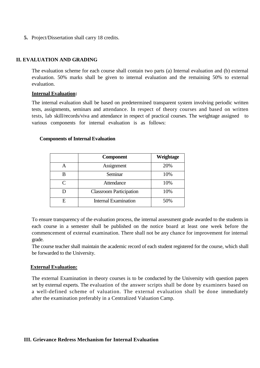**5.** Project/Dissertation shall carry 18 credits.

#### **II. EVALUATION AND GRADING**

The evaluation scheme for each course shall contain two parts (a) Internal evaluation and (b) external evaluation. 50% marks shall be given to internal evaluation and the remaining 50% to external evaluation.

#### **Internal Evaluation:**

The internal evaluation shall be based on predetermined transparent system involving periodic written tests, assignments, seminars and attendance. In respect of theory courses and based on written tests, lab skill/records/viva and attendance in respect of practical courses. The weightage assigned to various components for internal evaluation is as follows:

#### **Components of Internal Evaluation**

|           | <b>Component</b>               | Weightage |
|-----------|--------------------------------|-----------|
|           | Assignment                     | 20%       |
|           | Seminar                        | 10%       |
| $\subset$ | Attendance                     | 10%       |
|           | <b>Classroom Participation</b> | 10%       |
| F.        | <b>Internal Examination</b>    | 50%       |

To ensure transparency of the evaluation process, the internal assessment grade awarded to the students in each course in a semester shall be published on the notice board at least one week before the commencement of external examination. There shall not be any chance for improvement for internal grade.

The course teacher shall maintain the academic record of each student registered for the course, which shall be forwarded to the University.

#### **External Evaluation:**

The external Examination in theory courses is to be conducted by the University with question papers set by external experts. The evaluation of the answer scripts shall be done by examiners based on a well-defined scheme of valuation. The external evaluation shall be done immediately after the examination preferably in a Centralized Valuation Camp.

#### **III. Grievance Redress Mechanism for Internal Evaluation**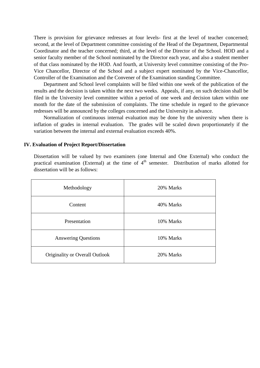There is provision for grievance redresses at four levels- first at the level of teacher concerned; second, at the level of Department committee consisting of the Head of the Department, Departmental Coordinator and the teacher concerned; third, at the level of the Director of the School. HOD and a senior faculty member of the School nominated by the Director each year, and also a student member of that class nominated by the HOD. And fourth, at University level committee consisting of the Pro-Vice Chancellor, Director of the School and a subject expert nominated by the Vice-Chancellor, Controller of the Examination and the Convener of the Examination standing Committee.

Department and School level complaints will be filed within one week of the publication of the results and the decision is taken within the next two weeks. Appeals, if any, on such decision shall be filed in the University level committee within a period of one week and decision taken within one month for the date of the submission of complaints. The time schedule in regard to the grievance redresses will be announced by the colleges concerned and the University in advance.

Normalization of continuous internal evaluation may be done by the university when there is inflation of grades in internal evaluation. The grades will be scaled down proportionately if the variation between the internal and external evaluation exceeds 40%.

#### **IV. Evaluation of Project Report/Dissertation**

Dissertation will be valued by two examiners (one Internal and One External) who conduct the practical examination (External) at the time of  $4<sup>th</sup>$  semester. Distribution of marks allotted for dissertation will be as follows:

| Methodology                    | 20% Marks |
|--------------------------------|-----------|
| Content                        | 40% Marks |
| Presentation                   | 10% Marks |
| <b>Answering Questions</b>     | 10% Marks |
| Originality or Overall Outlook | 20% Marks |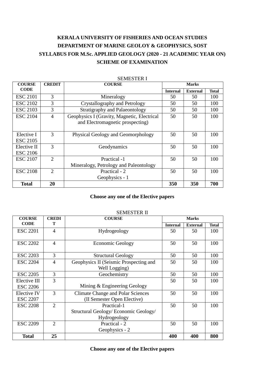# **KERALA UNIVERSITY OF FISHERIES AND OCEAN STUDIES DEPARTMENT OF MARINE GEOLOY & GEOPHYSICS, SOST SYLLABUS FOR M.Sc. APPLIED GEOLOGY (2020 - 21 ACADEMIC YEAR ON) SCHEME OF EXAMINATION**

| <b>COURSE</b>                  | <b>CREDIT</b>  | <b>COURSE</b>                                                                   |                 | <b>Marks</b>    |              |
|--------------------------------|----------------|---------------------------------------------------------------------------------|-----------------|-----------------|--------------|
| <b>CODE</b>                    |                |                                                                                 | <b>Internal</b> | <b>External</b> | <b>Total</b> |
| <b>ESC 2101</b>                | 3              | Mineralogy                                                                      | 50              | 50              | 100          |
| <b>ESC 2102</b>                | 3              | Crystallography and Petrology                                                   | 50              | 50              | 100          |
| <b>ESC 2103</b>                | 3              | Stratigraphy and Palaeontology                                                  | 50              | 50              | 100          |
| <b>ESC 2104</b>                | $\overline{4}$ | Geophysics I (Gravity, Magnetic, Electrical<br>and Electromagnetic prospecting) | 50              | 50              | 100          |
| Elective I<br><b>ESC 2105</b>  | 3              | Physical Geology and Geomorphology                                              | 50              | 50              | 100          |
| Elective II<br><b>ESC 2106</b> | 3              | Geodynamics                                                                     | 50              | 50              | 100          |
| <b>ESC 2107</b>                | $\overline{2}$ | Practical -1<br>Mineralogy, Petrology and Paleontology                          | 50              | 50              | 100          |
| <b>ESC 2108</b>                | $\overline{2}$ | Practical - 2<br>Geophysics - 1                                                 | 50              | 50              | 100          |
| <b>Total</b>                   | 20             |                                                                                 | 350             | 350             | 700          |

#### SEMESTER I

#### **Choose any one of the Elective papers**

| <b>COURSE</b>                         | <b>CREDI</b>   | <b>COURSE</b>                                                           |                 | <b>Marks</b>    |              |
|---------------------------------------|----------------|-------------------------------------------------------------------------|-----------------|-----------------|--------------|
| <b>CODE</b>                           | Т              |                                                                         | <b>Internal</b> | <b>External</b> | <b>Total</b> |
| <b>ESC 2201</b>                       | $\overline{4}$ | Hydrogeology                                                            | 50              | 50              | 100          |
| <b>ESC 2202</b>                       | $\overline{4}$ | <b>Economic Geology</b>                                                 | 50              | 50              | 100          |
| <b>ESC 2203</b>                       | 3              | <b>Structural Geology</b>                                               | 50              | 50              | 100          |
| <b>ESC 2204</b>                       | $\overline{4}$ | Geophysics II (Seismic Prospecting and<br>Well Logging)                 | 50              | 50              | 100          |
| <b>ESC 2205</b>                       | 3              | Geochemistry                                                            | 50              | 50              | 100          |
| Elective III<br><b>ESC 2206</b>       | $\overline{3}$ | Mining & Engineering Geology                                            | 50              | 50              | 100          |
| <b>Elective IV</b><br><b>ESC 2207</b> | 3              | <b>Climate Change and Polar Sciences</b><br>(II Semester Open Elective) | 50              | 50              | 100          |
| <b>ESC 2208</b>                       | $\overline{2}$ | Practical-1<br>Structural Geology/ Economic Geology/<br>Hydrogeology    | 50              | 50              | 100          |
| <b>ESC 2209</b>                       | $\overline{2}$ | Practical - 2<br>Geophysics - 2                                         | 50              | 50              | 100          |
| <b>Total</b>                          | 25             |                                                                         | 400             | 400             | 800          |

# SEMESTER II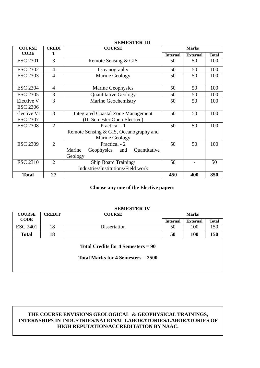| <b>COURSE</b>   | <b>CREDI</b>   | <b>COURSE</b>                             |                 | <b>Marks</b>    |              |
|-----------------|----------------|-------------------------------------------|-----------------|-----------------|--------------|
| <b>CODE</b>     | Т              |                                           | <b>Internal</b> | <b>External</b> | <b>Total</b> |
| <b>ESC 2301</b> | 3              | Remote Sensing & GIS                      | 50              | 50              | 100          |
| <b>ESC 2302</b> | $\overline{4}$ | Oceanography                              | 50              | 50              | 100          |
| <b>ESC 2303</b> | $\overline{4}$ | Marine Geology                            | 50              | 50              | 100          |
| <b>ESC 2304</b> | $\overline{4}$ | Marine Geophysics                         | 50              | 50              | 100          |
| <b>ESC 2305</b> | 3              | <b>Quantitative Geology</b>               | 50              | 50              | 100          |
| Elective V      | 3              | <b>Marine Geochemistry</b>                | 50              | 50              | 100          |
| <b>ESC 2306</b> |                |                                           |                 |                 |              |
| Elective VI     | 3              | <b>Integrated Coastal Zone Management</b> | 50              | 50              | 100          |
| <b>ESC 2307</b> |                | (III Semester Open Elective)              |                 |                 |              |
| <b>ESC 2308</b> | $\overline{2}$ | Practical - 1                             | 50              | 50              | 100          |
|                 |                | Remote Sensing & GIS, Oceanography and    |                 |                 |              |
|                 |                | Marine Geology                            |                 |                 |              |
| <b>ESC 2309</b> | $\overline{2}$ | Practical - 2                             | 50              | 50              | 100          |
|                 |                | Marine<br>Geophysics and<br>Quantitative  |                 |                 |              |
|                 |                | Geology                                   |                 |                 |              |
| <b>ESC 2310</b> | $\overline{2}$ | Ship Board Training/                      | 50              |                 | 50           |
|                 |                | Industries/Institutions/Field work        |                 |                 |              |
| <b>Total</b>    | 27             |                                           | 450             | 400             | 850          |

#### **SEMESTER III**

#### **Choose any one of the Elective papers**

## **SEMESTER IV COURSE CODE CREDIT COURSE Marks Internal External Total** ESC 2401 | 18 | Dissertation | 50 | 100 | 150 **Total 18 50 100 150 Total Credits for 4 Semesters = 90 Total Marks for 4 Semesters** = **2500**

#### **THE COURSE ENVISIONS GEOLOGICAL & GEOPHYSICAL TRAININGS, INTERNSHIPS IN INDUSTRIES/NATIONAL LABORATORIES/LABORATORIES OF HIGH REPUTATION/ACCREDITATION BY NAAC.**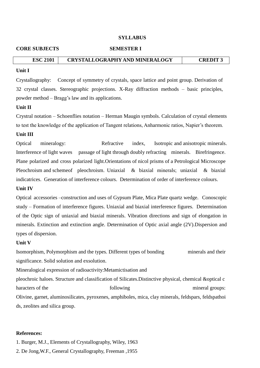#### **SYLLABUS**

#### **CORE SUBJECTS SEMESTER I**

#### **ESC 2101 CRYSTALLOGRAPHY AND MINERALOGY CREDIT 3**

#### **Unit I**

Crystallography: Concept of symmetry of crystals, space lattice and point group. Derivation of 32 crystal classes. Stereographic projections. X-Ray diffraction methods – basic principles, powder method – Bragg's law and its applications.

#### **Unit II**

Crystral notation – Schoenflies notation – Herman Maugin symbols. Calculation of crystal elements to test the knowledge of the application of Tangent relations, Anharmonic ratios, Napier's theorem.

#### **Unit III**

Optical mineralogy: Refractive index, Isotropic and anisotropic minerals. Interference of light waves passage of light through doubly refracting minerals. Birefringence. Plane polarized and cross polarized light.Orientations of nicol prisms of a Petrological Microscope Pleochroism and schemeof pleochroism. Uniaxial & biaxial minerals; uniaxial & biaxial indicatrices. Generation of interference colours. Determination of order of interference colours.

#### **Unit IV**

Optical accessories –construction and uses of Gypsum Plate, Mica Plate quartz wedge. Conoscopic study – Formation of interference figures. Uniaxial and biaxial interference figures. Determination of the Optic sign of uniaxial and biaxial minerals. Vibration directions and sign of elongation in minerals. Extinction and extinction angle. Determination of Optic axial angle (2V).Dispersion and types of dispersion.

#### **Unit V**

Isomorphism, Polymorphism and the types. Different types of bonding minerals and their significance. Solid solution and exsolution.

Mineralogical expression of radioactivity:Metamictisation and

pleochroic haloes. Structure and classification of Silicates.Distinctive physical, chemical &optical c haracters of the following following mineral groups: Olivine, garnet, aluminosilicates, pyroxenes, amphiboles, mica, clay minerals, feldspars, feldspathoi ds, zeolites and silica group.

#### **References:**

1. Burger, M.J., Elements of Crystallography, Wiley, 1963

2. De Jong,W.F., General Crystallography, Freeman ,1955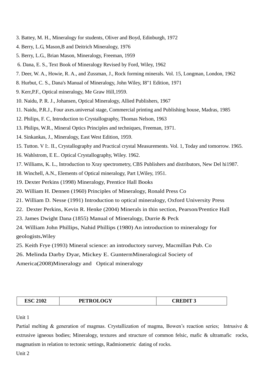- 3. Battey, M. H., Mineralogy for students, Oliver and Boyd, Edinburgh, 1972
- 4. Berry, L.G, Mason,B and Deitrich Mineralogy, 1976
- 5. Berry, L.G., Brian Mason, Mineralogy, Freeman, 1959
- 6. Dana, E. S., Text Book of Mineralogy Revised by Ford, Wiley, 1962
- 7. Deer, W. A., Howie, R. A., and Zussman, J., Rock forming minerals. Vol. 15, Longman, London, 1962
- 8. Hurbut, C. S., Dana's Manual of Mineralogy, John Wiley, I8"1 Edition, 1971
- 9. Kerr,P.F., Optical mineralogy, Me Graw Hill,1959.
- 10. Naidu, P. R. J., Johansen, Optical Mineralogy, Allied Publishers, 1967
- 11. Naidu, P.R.J., Four axes.universal stage, Commercial printing and Publishing house, Madras, 1985
- 12. Philips, F. C, Introduction to Crystallography, Thomas Nelson, 1963
- 13. Philips, W.R., Mineral Optics Principles and techniques, Freeman, 1971.
- 14. Sinkankas, J., Mineralogy, East West Edition, 1959.
- 15. Tutton. V I:. II., Crystallography and Practical crystal Measurements. Vol. 1, Today and tomorrow. 1965.
- 16. Wahlstrom, E E.. Optical Crystallography, Wiley. 1962.
- 17. Williams, K. L., Introduction to Xray spectrometry, CBS Publishers and distributors, New Del hi1987.
- 18. Winchell, A.N., Elements of Optical mineralogy, Part I,Wiley, 1951.
- 19. Dexter Perkins (1998) Mineralogy, Prentice Hall Books
- 20. William H. Dennen (1960) Principles of Mineralogy, Ronald Press Co
- 21. William D. Nesse (1991) Introduction to optical mineralogy, Oxford University Press
- 22. Dexter Perkins, Kevin R. Henke (2004) Minerals in thin section, Pearson/Prentice Hall
- 23. James Dwight Dana (1855) Manual of Mineralogy, Durrie & Peck

24. William John Phillips, Nahid Phillips (1980) An introduction to mineralogy for geologists**.**Wiley

- 25. Keith Frye (1993) Mineral science: an introductory survey, Macmillan Pub. Co
- 26. Melinda Darby Dyar, Mickey E. GuntermMineralogical Society of

America(2008)Mineralogy and Optical mineralogy

| <b>PETROLOGY</b><br><b>ESC 2102</b> | <b>CREDIT 3</b> |
|-------------------------------------|-----------------|
|-------------------------------------|-----------------|

Unit 1

Partial melting & generation of magmas. Crystallization of magma, Bowen's reaction series; Intrusive & extrusive igneous bodies; Mineralogy, textures and structure of common felsic, mafic & ultramafic rocks, magmatism in relation to tectonic settings, Radmiometric dating of rocks.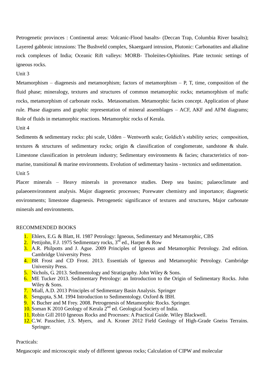Petrogenetic provinces : Continental areas: Volcanic-Flood basalts- (Deccan Trap, Columbia River basalts); Layered gabbroic intrusions: The Bushveld complex, Skaergaard intrusion, Plutonic: Carbonatites and alkaline rock complexes of India; Oceanic Rift valleys: MORB- Tholeiites-Ophiolites. Plate tectonic settings of igneous rocks.

Unit 3

Metamorphism – diagenesis and metamorphism; factors of metamorphism – P, T, time, composition of the fluid phase; mineralogy, textures and structures of common metamorphic rocks; metamorphism of mafic rocks, metamorphism of carbonate rocks. Metasomatism. Metamorphic facies concept. Application of phase rule. Phase diagrams and graphic representation of mineral assemblages – ACF, AKF and AFM diagrams; Role of fluids in metamorphic reactions. Metamorphic rocks of Kerala.

Unit 4

Sediments & sedimentary rocks: phi scale, Udden – Wentworth scale; Goldich's stability series; composition, textures & structures of sedimentary rocks; origin & classification of conglomerate, sandstone & shale. Limestone classification in petroleum industry; Sedimentary environments & facies; characteristics of nonmarine, transitional & marine environments. Evolution of sedimentary basins - tectonics and sedimentation. Unit 5

Placer minerals – Heavy minerals in provenance studies. Deep sea basins; palaeoclimate and palaeoenvironment analysis. Major diagenetic processes; Porewater chemistry and importance; diagenetic environments; limestone diagenesis. Petrogenetic significance of textures and structures, Major carbonate minerals and environments.

#### RECOMMENDED BOOKS

- 1. Ehlers, E.G. & Blatt, H. 1987 Petrology: Igneous, Sedimentary and Metamorphic, CBS
- 2. Pettijohn, F.J. 1975 Sedimentary rocks,  $3<sup>rd</sup>$  ed., Harper & Row
- 3. A.R. Philpotts and J. Ague. 2009 Principles of Igneous and Metamorphic Petrology. 2nd edition. Cambridge University Press
- 4. BR Frost and CD Frost. 2013. Essentials of Igneous and Metamorphic Petrology. Cambridge University Press.
- 5. Nichols, G. 2013. Sedimentology and Stratigraphy. John Wiley & Sons.
- 6. ME Tucker 2013. Sedimentary Petrology: an Introduction to the Origin of Sedimentary Rocks. John Wiley & Sons.
- 7. Miall, A.D. 2013 Principles of Sedimentary Basin Analysis. Springer
- 8. Sengupta, S.M. 1994 Introduction to Sedimentology. Oxford & IBH.
- 9. K Bucher and M Frey. 2008. Petrogenesis of Metamorphic Rocks. Springer.
- 10. Soman K 2010 Geology of Kerala  $2^{nd}$  ed. Geological Society of India.
- 11. Robin Gill 2010 Igneous Rocks and Processes: A Practical Guide. Wiley Blackwell.
- 12. C.W. Passchier, J.S. Myers, and A. Kroner 2012 Field Geology of High-Grade Gneiss Terrains. Springer.

Practicals:

Megascopic and microscopic study of different igneous rocks; Calculation of CIPW and molecular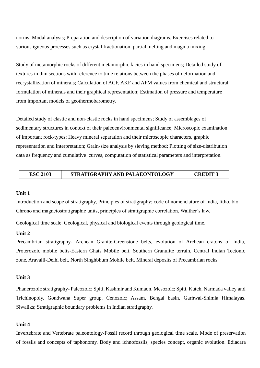norms; Modal analysis; Preparation and description of variation diagrams. Exercises related to various igneous processes such as crystal fractionation, partial melting and magma mixing.

Study of metamorphic rocks of different metamorphic facies in hand specimens; Detailed study of textures in thin sections with reference to time relations between the phases of deformation and recrystallization of minerals; Calculation of ACF, AKF and AFM values from chemical and structural formulation of minerals and their graphical representation; Estimation of pressure and temperature from important models of geothermobarometry.

Detailed study of clastic and non-clastic rocks in hand specimens; Study of assemblages of sedimentary structures in context of their paleoenvironmental significance; Microscopic examination of important rock-types; Heavy mineral separation and their microscopic characters, graphic representation and interpretation; Grain-size analysis by sieving method; Plotting of size-distribution data as frequency and cumulative curves, computation of statistical parameters and interpretation.

| <b>ESC 2103</b> | STRATIGRAPHY AND PALAEONTOLOGY | <b>CREDIT.</b> |
|-----------------|--------------------------------|----------------|
|-----------------|--------------------------------|----------------|

#### **Unit 1**

Introduction and scope of stratigraphy, Principles of stratigraphy; code of nomenclature of India, litho, bio Chrono and magnetostratigraphic units, principles of stratigraphic correlation, Walther's law.

Geological time scale. Geological, physical and biological events through geological time.

#### **Unit 2**

Precambrian stratigraphy- Archean Granite-Greenstone belts, evolution of Archean cratons of India, Proterozoic mobile belts-Eastern Ghats Mobile belt, Southern Granulite terrain, Central Indian Tectonic zone, Aravalli-Delhi belt, North Singhbhum Mobile belt. Mineral deposits of Precambrian rocks

#### **Unit 3**

Phanerozoic stratigraphy- Paleozoic; Spiti, Kashmir and Kumaon. Mesozoic; Spiti, Kutch, Narmada valley and Trichinopoly. Gondwana Super group. Cenozoic; Assam, Bengal basin, Garhwal-Shimla Himalayas. Siwaliks; Stratigraphic boundary problems in Indian stratigraphy.

#### **Unit 4**

Invertebrate and Vertebrate paleontology-Fossil record through geological time scale. Mode of preservation of fossils and concepts of taphonomy. Body and ichnofossils, species concept, organic evolution. Ediacara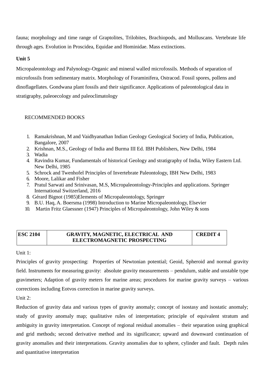fauna; morphology and time range of Graptolites, Trilobites, Brachiopods, and Molluscans. Vertebrate life through ages. Evolution in Proscidea, Equidae and Hominidae. Mass extinctions.

#### **Unit 5**

Micropaleontology and Palynology-Organic and mineral walled microfossils. Methods of separation of microfossils from sedimentary matrix. Morphology of Foraminifera, Ostracod. Fossil spores, pollens and dinoflagellates. Gondwana plant fossils and their significance. Applications of paleontological data in stratigraphy, paleoecology and paleoclimatology

#### RECOMMENDED BOOKS

- 1. Ramakrishnan, M and Vaidhyanathan Indian Geology Geological Society of India, Publication, Bangalore, 2007
- 2. Krishnan, M.S., Geology of India and Burma III Ed. IBH Publishers, New Delhi, 1984
- 3. Wadia
- 4. Ravindra Kumar, Fundamentals of historical Geology and stratigraphy of India, Wiley Eastern Ltd. New Delhi, 1985
- 5. Schrock and Twenhofel Principles of Invertebrate Paleontology, IBH New Delhi, 1983
- 6. Moore, Lalikar and Fisher
- 7. Pratul Sarwati and Srinivasan, M.S, Micropaleontology-Principles and applications. Springer International Switzerland, 2016
- 8. Gérard Bignot (1985)Elements of Micropaleontology, Springer
- 9. B.U. Haq, A. Boersma (1998) Introduction to Marine Micropaleontology, Elsevier
- 10. Martin Fritz Glaessner (1947) Principles of Micropaleontology, John Wiley & sons

#### **ESC 2104 GRAVITY, MAGNETIC, ELECTRICAL AND ELECTROMAGNETIC PROSPECTING CREDIT 4**

Unit 1:

Principles of gravity prospecting: Properties of Newtonian potential; Geoid, Spheroid and normal gravity field. Instruments for measuring gravity: absolute gravity measurements – pendulum, stable and unstable type gravimeters; Adaption of gravity meters for marine areas; procedures for marine gravity surveys – various corrections including Eotvos correction in marine gravity surveys.

Unit 2:

Reduction of gravity data and various types of gravity anomaly; concept of isostasy and isostatic anomaly; study of gravity anomaly map; qualitative rules of interpretation; principle of equivalent stratum and ambiguity in gravity interpretation. Concept of regional residual anomalies – their separation using graphical and grid methods; second derivative method and its significance; upward and downward continuation of gravity anomalies and their interpretations. Gravity anomalies due to sphere, cylinder and fault. Depth rules and quantitative interpretation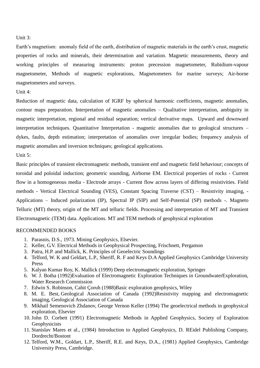#### Unit 3:

Earth's magnetism: anomaly field of the earth, distribution of magnetic materials in the earth's crust, magnetic properties of rocks and minerals, their determination and variation. Magnetic measurements, theory and working principles of measuring instruments: proton precession magnetometer, Rubidium-vapour magnetometer, Methods of magnetic explorations, Magnetometers for marine surveys; Air-borne magnetometers and surveys.

#### Unit 4:

Reduction of magnetic data, calculation of IGRF by spherical harmonic coefficients, magnetic anomalies, contour maps preparation. Interpretation of magnetic anomalies – Qualitative interpretation, ambiguity in magnetic interpretation, regional and residual separation; vertical derivative maps. Upward and downward interpretation techniques. Quantitative Interpretation - magnetic anomalies due to geological structures – dykes, faults, depth estimation; interpretation of anomalies over irregular bodies; frequency analysis of magnetic anomalies and inversion techniques; geological applications.

Unit 5:

Basic principles of transient electromagnetic methods, transient emf and magnetic field behaviour; concepts of toroidal and poloidal induction; geometric sounding, Airborne EM. Electrical properties of rocks - Current flow in a homogeneous media - Electrode arrays - Current flow across layers of differing resistivities. Field methods - Vertical Electrical Sounding (VES), Constant Spacing Traverse (CST) – Resistivity imaging, - Applications – Induced polarization (IP), Spectral IP (SIP) and Self-Potential (SP) methods -. Magneto Telluric (MT) theory, origin of the MT and telluric fields. Processing and interpretation of MT and Transient Electromagnetic (TEM) data. Applications. MT and TEM methods of geophysical exploration

- 1. Parasnis, D.S., 1973. Mining Geophysics, Elsevier.
- 2. Keller, G.V. Electrical Methods in Geophysical Prospecting, Frischnett, Pergamon
- 3. Patra, H.P. and Mallick, K. Principles of Geoelectric Soundings
- 4. Telford, W. K and Geldart, L.P., Sheriff, R. F and Keys D.A Applied Geophysics Cambridge University Press
- 5. Kalyan Kumar Roy, K. Mallick (1999) Deep electromagnetic exploration, Springer
- 6. W. J. Botha (1992)Evaluation of Electromagnetic Exploration Techniques in GroundwaterExploration, Water Research Commission
- 7. Edwin S. Robinson, Cahit Çoruh (1988)Basic exploration geophysics, Wiley
- 8. M. E. Best, Geological Association of Canada (1992)Resistivity mapping and electromagnetic imaging, Geological Association of Canada
- 9. Mikhail Semenovich Zhdanov, George Vernon Keller (1994) The geoelectrical methods in geophysical exploration, Elsevier
- 10. John D. Corbett (1991) Electromagnetic Methods in Applied Geophysics, Society of Exploration Geophysicists
- 11. Stanislav Mares et al., (1984) Introduction to Applied Geophysics, D. REidel Publishing Company, Dordrecht/Bostont
- 12. Telford, W.M., Goldart, L.P., Sheriff, R.E. and Keys, D.A., (1981) Applied Geophysics, Cambridge University Press, Cambridge.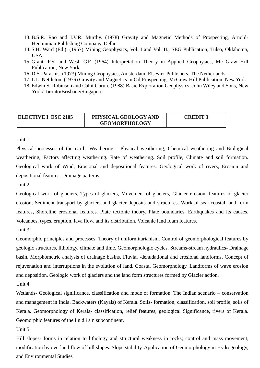- 13. B.S.R. Rao and I.V.R. Murthy. (1978) Gravity and Magnetic Methods of Prospecting, Arnold-Henninman Publishing Company, Delhi
- 14. S.H. Ward (Ed.). (1967) Mining Geophysics, Vol. I and Vol. II., SEG Publication, Tulso, Oklahoma, USA.
- 15. Grant, F.S. and West, G.F. (1964) Interpretation Theory in Applied Geophysics, Mc Graw Hill Publication, New York
- 16. D.S. Parasnis. (1973) Mining Geophysics, Amsterdam, Elsevier Publishers, The Netherlands
- 17. L.L. Nettleton. (1976) Gravity and Magnetics in Oil Prospecting, McGraw Hill Publication, New York
- 18. Edwin S. Robinson and Cahit Coruh. (1988) Basic Exploration Geophysics. John Wiley and Sons, New York/Toronto/Brisbane/Singapore

| <b>ELECTIVE I ESC 2105</b> | PHYSICAL GEOLOGY AND | <b>CREDIT 3</b> |
|----------------------------|----------------------|-----------------|
|                            | <b>GEOMORPHOLOGY</b> |                 |

Physical processes of the earth. Weathering - Physical weathering, Chemical weathering and Biological weathering, Factors affecting weathering. Rate of weathering. Soil profile, Climate and soil formation. Geological work of Wind, Erosional and depositional features. Geological work of rivers, Erosion and depositional features. Drainage patterns.

Unit 2

Geological work of glaciers, Types of glaciers, Movement of glaciers, Glacier erosion, features of glacier erosion, Sediment transport by glaciers and glacier deposits and structures. Work of sea, coastal land form features, Shoreline erosional features. Plate tectonic theory. Plate boundaries. Earthquakes and its causes. Volcanoes, types, eruption, lava flow, and its distribution. Volcanic land foam features.

Unit 3:

Geomorphic principles and processes. Theory of uniformitarianism. Control of geomorphological features by geologic structures, lithology, climate and time. Geomorphologic cycles. Streams-stream hydraulics- Drainage basin, Morphometric analysis of drainage basins. Fluvial -denudational and erosional landforms. Concept of rejuvenation and interruptions in the evolution of land. Coastal Geomorphology. Landforms of wave erosion and deposition. Geologic work of glaciers and the land form structures formed by Glacier action.

Unit 4:

Wetlands- Geological significance, classification and mode of formation. The Indian scenario – conservation and management in India. Backwaters (Kayals) of Kerala. Soils- formation, classification, soil profile, soils of Kerala. Geomorphology of Kerala- classification, relief features, geological Significance, rivers of Kerala. Geomorphic features of the I n d i a n subcontinent.

Unit 5:

Hill slopes- forms in relation to lithology and structural weakness in rocks; control and mass movement, modification by overland flow of hill slopes. Slope stability. Application of Geomorphology in Hydrogeology, and Environmental Studies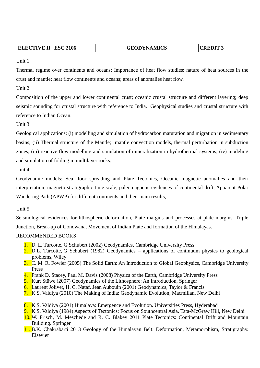| <b>ELECTIVE II ESC 2106</b> | <b>GEODYNAMICS</b> | $ $ CREDIT 3 |  |
|-----------------------------|--------------------|--------------|--|
|                             |                    |              |  |

Thermal regime over continents and oceans; Importance of heat flow studies; nature of heat sources in the crust and mantle; heat flow continents and oceans; areas of anomalies heat flow.

Unit 2

Composition of the upper and lower continental crust; oceanic crustal structure and different layering; deep seismic sounding for crustal structure with reference to India. Geophysical studies and crustal structure with reference to Indian Ocean.

Unit 3

Geological applications: (i) modelling and simulation of hydrocarbon maturation and migration in sedimentary basins; (ii) Thermal structure of the Mantle; mantle convection models, thermal perturbation in subduction zones; (iii) reactive flow modelling and simulation of mineralization in hydrothermal systems; (iv) modeling and simulation of folding in multilayer rocks.

Unit 4

Geodynamic models: Sea floor spreading and Plate Tectonics, Oceanic magnetic anomalies and their interpretation, magneto-stratigraphic time scale, paleomagnetic evidences of continental drift, Apparent Polar Wandering Path (APWP) for different continents and their main results,

Unit 5

Seismological evidences for lithospheric deformation, Plate margins and processes at plate margins, Triple Junction, Break-up of Gondwana, Movement of Indian Plate and formation of the Himalayas.

- 1. D. L. Turcotte, G Schubert (2002) Geodynamics, Cambridge University Press
- 2. D.L. Turcotte, G Schubert (1982) Geodynamics applications of continuum physics to geological problems, Wiley
- 3. C. M. R. Fowler (2005) The Solid Earth: An Introduction to Global Geophysics, Cambridge University Press
- 4. Frank D. Stacey, Paul M. Davis (2008) Physics of the Earth, Cambridge University Press
- 5. Kurt Stüwe (2007) Geodynamics of the Lithosphere: An Introduction, Springer
- 6. Laurent Jolivet, H. C. Nataf, Jean Aubouin (2001) Geodynamics, Taylor & Francis
- 7. K.S. Valdiya (2010) The Making of India: Geodynamic Evolution, Macmillan, New Delhi
- 8. K.S. Valdiya (2001) Himalaya: Emergence and Evolution. Universities Press, Hyderabad
- 9. K.S. Valdiya (1984) Aspects of Tectonics: Focus on Southcentral Asia. Tata-McGraw Hill, New Delhi
- 10. W. Frisch, M. Meschede and R. C. Blakey 2011 Plate Tectonics: Continental Drift and Mountain Building. Springer
- 11. B.K. Chakrabarti 2013 Geology of the Himalayan Belt: Deformation, Metamorphism, Stratigraphy. Elsevier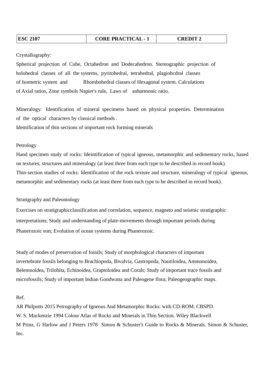#### Crystallography:

Spherical projection of Cube, Octahedron and Dodecahedron. Stereographic projection of holohedral classes of all the systems, pyritohedral, tetrahedral, plagiohcdral classes of Isometric system and Rhombohedral classes of Hexagonal system. Calculations of Axial ratios, Zone symbols Napier's rule, Laws of anharmonic ratio.

Mineralogy: Identification of mineral specimens based on physical properties. Determination of the optical characters by classical methods . Identification of thin sections of important rock forming minerals

#### Petrology

Hand specimen study of rocks: Ideintification of typical igneous, metamorphic and sedimentary rocks, based on textures, structures and mineralogy (at least three from each type to be described in record book). Thin-section studies of rocks: Identification of the rock texture and structure, mineralogy of typical igneous, metamorphic and sedimentary rocks (at least three from each type to be described in record book).

#### Stratigraphy and Paleontology

Exercises on stratigraphicclassification and correlation, sequence, magneto and seismic stratigraphic interpretations; Study and understanding of plate-movements through important periods during Phanerozoic eon; Evolution of ocean systems during Phanerozoic.

Study of modes of preservation of fossils; Study of morphological characters of important invertebrate fossils belonging to Brachiopoda, Bivalvia, Gastropoda, Nautiloidea, Ammonoidea, Belemnoidea, Trilobita, Echinoidea, Graptoloidea and Corals; Study of important trace fossils and microfossils; Study of important Indian Gondwana and Paleogene flora; Paleogeographic maps.

#### Ref.

AR Philpotts 2015 Petrography of Igneous And Metamorphic Rocks: with CD-ROM. CBSPD. W. S. Mackenzie 1994 Colour Atlas of Rocks and Minerals in Thin Section. Wiley Blackwell M Prinz, G Harlow and J Peters 1978 Simon & Schuster's Guide to Rocks & Minerals. Simon & Schuster, Inc.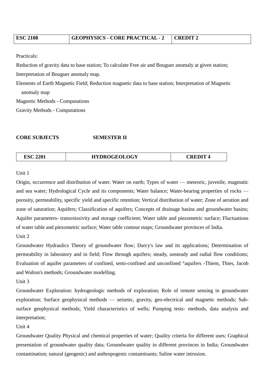| <b>ESC 2108</b> | GEOPHYSICS - CORE PRACTICAL - 2 | $\mid$ CREDIT $\gamma$ |
|-----------------|---------------------------------|------------------------|
|                 |                                 |                        |

Practicals:

Reduction of gravity data to base station; To calculate Free air and Bouguer anomaly at given station;

Interpretation of Bouguer anomaly map.

Elements of Earth Magnetic Field; Reduction magnetic data to base station; Interpretation of Magnetic anomaly map Magnetic Methods - Computations

Gravity Methods - Computations

#### **CORE SUBJECTS SEMESTER II**

| ESC 2201 | <b>HYDROGEOLOGY</b> | <b>CREDIT</b> |
|----------|---------------------|---------------|
|          |                     |               |

#### Unit 1

Origin, occurrence and distribution of water. Water on earth; Types of water — meteoric, juvenile, magmatic and sea water; Hydrological Cycle and its components; Water balance; Water-bearing properties of rocks porosity, permeability, specific yield and specific retention; Vertical distribution of water; Zone of aeration and zone of saturation; Aquifers; Classification of aquifers; Concepts of drainage basins and groundwater basins; Aquifer parameters- transrnissivity and storage coefficient; Water table and piezometric surface; Fluctuations of water table and piezometric surface; Water table contour maps; Groundwater provinces of India. Unit 2

Groundwater Hydraulics Theory of groundwater flow; Darcy's law and its applications; Determination of permeability in laboratory and in field; Flow through aquifers; steady, unsteady and radial flow conditions; Evaluation of aquifer parameters of confined, semi-confined and unconfined °aquifers -Thiem, Thies, Jacob and Walton's methods; Groundwater modelling.

Unit 3

Groundwater Exploration: hydrogeologic methods of exploration; Role of remote sensing in groundwater exploration; Surface geophysical methods — seismic, gravity, geo-electrical and magnetic methods; Subsurface geophysical methods; Yield characteristics of wells; Pumping tests- methods, data analysis and interpretation;

Unit 4

Groundwater Quality Physical and chemical properties of water; Quality criteria for different uses; Graphical presentation of groundwater quality data; Groundwater quality in different provinces in India; Groundwater contamination; natural (geogenic) and anthropogenic contaminants; Saline water intrusion.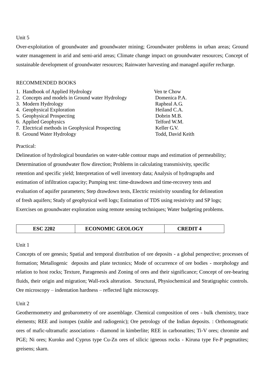Over-exploitation of groundwater and groundwater mining; Groundwater problems in urban areas; Ground water management in arid and semi-arid areas; Climate change impact on groundwater resources; Concept of sustainable development of groundwater resources; Rainwater harvesting and managed aquifer recharge.

#### RECOMMENDED BOOKS

| 1. Handbook of Applied Hydrology                 | Ven te Chow       |
|--------------------------------------------------|-------------------|
| 2. Concepts and models in Ground water Hydrology | Domenica P.A.     |
| 3. Modern Hydrology                              | Rapheal A.G.      |
| 4. Geophysical Exploration                       | Heiland C.A.      |
| 5. Geophysical Prospecting                       | Dobrin M.B.       |
| 6. Applied Geophysics                            | Telford W.M.      |
| 7. Electrical methods in Geophysical Prospecting | Keller G.V.       |
| 8. Ground Water Hydrology                        | Todd, David Keith |

Practical:

Delineation of hydrological boundaries on water-table contour maps and estimation of permeability; Determination of groundwater flow direction; Problems in calculating transmisivity, specific retention and specific yield; Interpretation of well inventory data; Analysis of hydrographs and estimation of infiltration capacity; Pumping test: time-drawdown and time-recovery tests and evaluation of aquifer parameters; Step drawdown tests, Electric resistivity sounding for delineation of fresh aquifers; Study of geophysical well logs; Estimation of TDS using resistivity and SP logs; Exercises on groundwater exploration using remote sensing techniques; Water budgeting problems.

| 2202<br><b>ESC</b> | <b>ECONOMIC GEOLOGY</b> | CREDIT<br>л |
|--------------------|-------------------------|-------------|
|                    |                         |             |

#### Unit 1

Concepts of ore genesis; Spatial and temporal distribution of ore deposits - a global perspective; processes of formation; Metallogenic deposits and plate tectonics; Mode of occurrence of ore bodies - morphology and relation to host rocks; Texture, Paragenesis and Zoning of ores and their significance; Concept of ore-bearing fluids, their origin and migration; Wall-rock alteration. Structural, Physiochemical and Stratigraphic controls. Ore microscopy – indentation hardness – reflected light microscopy.

#### Unit 2

Geothermometry and geobarometry of ore assemblage. Chemical composition of ores - bulk chemistry, trace elements; REE and isotopes (stable and radiogenic); Ore petrology of the Indian deposits. : Orthomagmatic ores of mafic-ultramafic associations - diamond in kimberlite; REE in carbonatites; Ti-V ores; chromite and PGE; Ni ores; Kuroko and Cyprus type Cu-Zn ores of silicic igneous rocks - Kiruna type Fe-P pegmatites; greisens; skarn.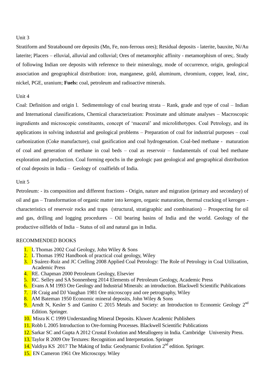Stratiform and Stratabound ore deposits (Mn, Fe, non-ferrous ores); Residual deposits - laterite, bauxite, Ni/Au laterite; Placers – elluvial, alluvial and colluvial; Ores of metamorphic affinity - metamorphism of ores;. Study of following Indian ore deposits with reference to their mineralogy, mode of occurrence, origin, geological association and geographical distribution: iron, manganese, gold, aluminum, chromium, copper, lead, zinc, nickel, PGE, uranium; **Fuels:** coal, petroleum and radioactive minerals.

#### Unit 4

Coal: Definition and origin l. Sedimentology of coal bearing strata – Rank, grade and type of coal – Indian and International classifications, Chemical characterization: Proximate and ultimate analyses – Macroscopic ingredients and microscopic constituents, concept of 'maceral' and microlithotypes. Coal Petrology, and its applications in solving industrial and geological problems – Preparation of coal for industrial purposes – coal carbonization (Coke manufacture), coal gasification and coal hydrogenation. Coal-bed methane - maturation of coal and generation of methane in coal beds – coal as reservoir – fundamentals of coal bed methane exploration and production. Coal forming epochs in the geologic past geological and geographical distribution of coal deposits in India – Geology of coalfields of India.

#### Unit 5

Petroleum: - its composition and different fractions - Origin, nature and migration (primary and secondary) of oil and gas – Transformation of organic matter into kerogen, organic maturation, thermal cracking of kerogen characteristics of reservoir rocks and traps (structural, stratigraphic and combination) – Prospecting for oil and gas, drilling and logging procedures – Oil bearing basins of India and the world. Geology of the productive oilfields of India – Status of oil and natural gas in India.

- 1. L Thomas 2002 Coal Geology, John Wiley & Sons
- 2. L Thomas 1992 Handbook of practical coal geology, Wiley
- 3. I Suárez-Ruiz and JC Crelling 2008 Applied Coal Petrology: The Role of Petrology in Coal Utilization, Academic Press
- 4. RE. Chapman 2000 Petroleum Geology, Elsevier
- 5. RC. Selley and SA Sonnenberg 2014 Elements of Petroleum Geology, Academic Press
- 6. Evans A M 1993 Ore Geology and Industrial Minerals: an introduction. Blackwell Scientific Publications
- 7. JR Craig and DJ Vaughan 1981 Ore microscopy and ore petrography, Wiley
- 8. AM Bateman 1950 Economic mineral deposits, John Wiley & Sons
- 9. Arndt N, Kesler S and Ganino C 2015 Metals and Society: an Introduction to Economic Geology  $2^{nd}$ Edition. Springer.
- 10. Misra K C 1999 Understanding Mineral Deposits. Kluwer Academic Publishers
- 11. Robb L 2005 Introduction to Ore-forming Processes. Blackwell Scientific Publications
- 12. Sarkar SC and Gupta A 2012 Crustal Evolution and Metallogeny in India. Cambridge University Press.
- 13. Taylor R 2009 Ore Textures: Recognition and Interpretation. Springer
- 14. Valdiya KS 2017 The Making of India: Geodynamic Evolution 2<sup>nd</sup> edition. Springer.
- 15. EN Cameron 1961 Ore Microscopy. Wiley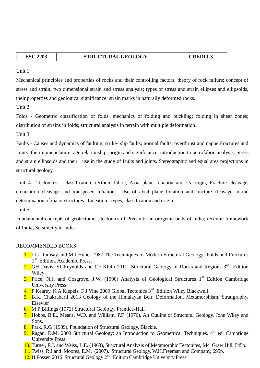| <b>ESC 2203</b> | <b>STRUCTURAL GEOLOGY</b> | <b>CREDIT 3</b> |
|-----------------|---------------------------|-----------------|
|                 |                           |                 |

Mechanical principles and properties of rocks and their controlling factors; theory of rock failure; concept of stress and strain; two dimensional strain and stress analysis; types of stress and strain ellipses and ellipsoids, their properties and geological significance; strain marks in naturally deformed rocks.

Unit 2

Folds - Geometric classification of folds; mechanics of folding and buckling; folding in shear zones; distribution of strains in folds; structural analysis in terrain with multiple deformation.

Unit 3

Faults - Causes and dynamics of faulting; strike- slip faults; normal faults; overthrust and nappe Fractures and joints- their nomenclature; age relationship; origin and significance, introduction to petrofabric analysis. Stress and strain ellipsoids and their use in the study of faults and joints. Stereographic and equal area projections in structural geology.

Unit 4 Tectonites - classification, tectonic fabric, Axial-plane foliation and its origin, Fracture cleavage, crenulation cleavage and transposed foliation. Use of axial plane foliation and fracture cleavage in the determination of major structures. Lineation - types, classification and origin.

Unit 5

Fundamental concepts of geotectonics; tectonics of Precambrian orogenic belts of India; tectonic framework of India; Seismicity in India

- 1. J G. Ramsay and M I Huber 1987 The Techniques of Modern Structural Geology: Folds and Fractures 1<sup>st</sup> Edition. Academic Press.
- 2. GH Davis, SJ Reynolds and CF Kluth 2011 Structural Geology of Rocks and Regions 3<sup>rd</sup> Edition Wiley
- 3. Price, N.J. and Cosgrove, J.W. (1990) Analysis of Geological Structures  $1<sup>st</sup>$  Edition Cambridge University Press
- 4. P Kearey, K A Klepels, F J Vine 2009 Global Tectonics 3<sup>rd</sup> Edition Wiley Blackwell
- 5. B.K. Chakrabarti 2013 Geology of the Himalayan Belt: Deformation, Metamorphism, Stratigraphy. Elsevier
- 6. M P Billings (1972) Structural Geology, Prentice-Hall
- 7. Hobbs, B.E., Means, W.D. and William, P.F. (1976), An Outline of Structural Geology, John Wiley and Sons.
- 8. Park, R.G. (1989), Foundation of Structural Geology, Blackie.
- 9. Ragan, D.M. 2009 Structural Geology: an Introduction to Geometrical Techniques.  $4<sup>th</sup>$  ed. Cambridge University Press
- 10. Turner, E.J. and Weiss, L.E. (1963), Structural Analysis of Metamorphic Tectonites, Mc. Graw Hill, 545p.
- 11. Twiss, R.J and Moores, E.M. (2007). Structural Geology, W.H.Freeman and Company, 695p.
- 12. H Fossen 2016 Structural Geology 2<sup>nd</sup> Edition Cambridge University Press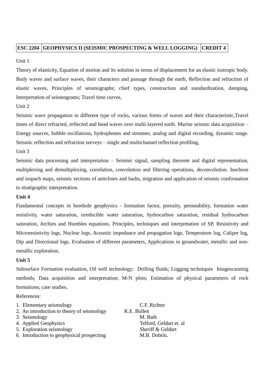### **ESC 2204 GEOPHYSICS II (SEISMIC PROSPECTING & WELL LOGGING) CREDIT 4**

Unit 1

Theory of elasticity, Equation of motion and its solution in terms of displacement for an elastic isotropic body. Body waves and surface waves, their characters and passage through the earth, Reflection and refraction of elastic waves, Principles of seismographs; chief types, construction and standardization, damping, Interpretation of seismograms; Travel time curves,

Unit 2

Seismic wave propagation in different type of rocks, various forms of waves and their characteristic,Travel times of direct refracted, reflected and head waves over multi-layered earth. Marine seismic data acquisition – Energy sources, bubble oscillations, hydrophones and streamer, analog and digital recording, dynamic range. Seismic reflection and refraction surveys – single and multichannel reflection profiling,

Unit 3

Seismic data processing and interpretation – Seismic signal, sampling theorem and digital representation, multiplexing and demultiplexing, correlation, convolution and filtering operations, deconvolution. Isochron and isopach maps, seismic sections of anticlines and faults, migration and application of seismic confirmation to stratigraphic interpretation.

#### **Unit 4**

Fundamental concepts in borehole geophysics - formation factor, porosity, permeability, formation water resistivity, water saturation, irreducible water saturation, hydrocarbon saturation, residual hydrocarbon saturation, Archies and Humbles equations. Principles, techniques and interpretation of SP, Resistivity and Microresistivity logs, Nuclear logs, Acoustic impedance and propagation logs, Temperature log, Caliper log, Dip and Directional logs. Evaluation of different parameters, Applications in groundwater, metallic and nonmetallic exploration.

#### **Unit 5**

Subsurface Formation evaluation, Oil well technology; Drilling fluids; Logging techniques Imagescanning methods; Data acquisition and interpretation; M-N plots; Estimation of physical parameters of rock formations; case studies.

#### References:

| C.F. Richter            |
|-------------------------|
| K.E. Bullen             |
| M. Bath                 |
| Telford, Geldart et. al |
| Sheriff & Geldart       |
| M.B. Dobrin.            |
|                         |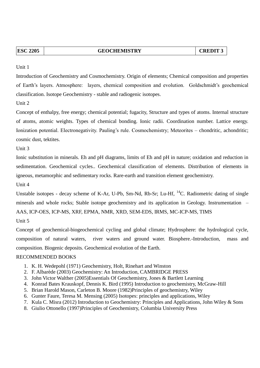| n C<br>v | 205 |  |
|----------|-----|--|
|          | .   |  |

**ESC 2205 CREDIT 3** 

Unit 1

Introduction of Geochemistry and Cosmochemistry. Origin of elements; Chemical composition and properties of Earth's layers. Atmosphere: layers, chemical composition and evolution. Goldschmidt's geochemical classification. Isotope Geochemistry - stable and radiogenic isotopes.

Unit 2

Concept of enthalpy, free energy; chemical potential; fugacity, Structure and types of atoms. Internal structure of atoms, atomic weights. Types of chemical bonding. Ionic radii. Coordination number. Lattice energy. Ionization potential. Electronegativity. Pauling's rule. Cosmochemistry; Meteorites – chondritic, achondritic; cosmic dust, tektites.

Unit 3

Ionic substitution in minerals. Eh and pH diagrams, limits of Eh and pH in nature; oxidation and reduction in sedimentation. Geochemical cycles.. Geochemical classification of elements. Distribution of elements in igneous, metamorphic and sedimentary rocks. Rare-earth and transition element geochemistry.

Unit 4

Unstable isotopes - decay scheme of K-Ar, U-Pb, Sm-Nd, Rb-Sr; Lu-Hf, <sup>14</sup>C. Radiometric dating of single minerals and whole rocks; Stable isotope geochemistry and its application in Geology. Instrumentation – AAS, ICP-OES, ICP-MS, XRF, EPMA, NMR, XRD, SEM-EDS, IRMS, MC-ICP-MS, TIMS

Unit 5

Concept of geochemical-biogeochemical cycling and global climate; Hydrosphere: the hydrological cycle, composition of natural waters, river waters and ground water. Biosphere.-Introduction, mass and composition. Biogenic deposits. Geochemical evolution of the Earth.

- 1. K. H. Wedepohl (1971) Geochemistry, Holt, Rinehart and Winston
- 2. F. Albarède (2003) Geochemistry: An Introduction, CAMBRIDGE PRESS
- 3. John Victor Walther (2005)Essentials Of Geochemistry, Jones & Bartlett Learning
- 4. Konrad Bates Krauskopf, Dennis K. Bird (1995) Introduction to geochemistry, McGraw-Hill
- 5. Brian Harold Mason, Carleton B. Moore (1982)Principles of geochemistry, Wiley
- 6. Gunter Faure, Teresa M. Mensing (2005) Isotopes: principles and applications, Wiley
- 7. Kula C. Misra (2012) Introduction to Geochemistry: Principles and Applications, John Wiley & Sons
- 8. Giulio Ottonello (1997)Principles of Geochemistry, Columbia University Press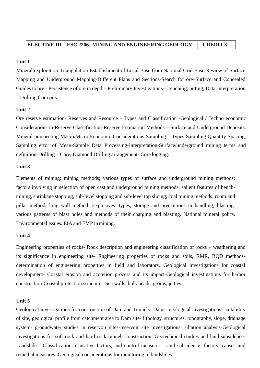Mineral exploration-Triangulation-Establishment of Local Base from National Grid Base-Review of Surface Mapping and Underground Mapping-Different Plans and Sections-Search for ore–Surface and Concealed Guides to ore - Persistence of ore in depth– Preliminary Investigations–Trenching, pitting, Data Interpretation – Drilling from pits.

#### **Unit 2**

Ore reserve estimation- Reserves and Resource – Types and Classification -Geological / Techno economic Considerations in Reserve Classification-Reserve Estimation Methods – Surface and Underground Deposits. Mineral prospecting-Macro/Micro Economic Considerations-Sampling – Types-Sampling Quantity-Spacing, Sampling error of Mean-Sample Data Processing-Interpretation-Surface/underground mining terms and definition-Drilling – Core, Diamond Drilling arrangement- Core logging.

#### **Unit 3**

Elements of mining: mining methods; various types of surface and underground mining methods; factors involving in selection of open cast and underground mining methods; salient features of benchmining, shrinkage stopping, sub-level stopping and sub-level top slicing; coal mining methods: room and pillar method, long wall method. Explosives: types, storage and precautions in handling; blasting: various patterns of blast holes and methods of their charging and blasting. National mineral policy. Environmental issues. EIA and EMP in mining.

#### **Unit 4**

Engineering properties of rocks- Rock description and engineering classification of rocks – weathering and its significance in engineering site- Engineering properties of rocks and soils, RMR, RQD methodsdetermination of engineering properties in field and laboratory. Geological investigations for coastal development- Coastal erosion and accretion process and its impact-Geological investigations for harbor construction-Coastal protection structures-Sea walls, bulk heads, groins, jetties.

#### **Unit 5**

Geological investigations for construction of Dam and Tunnels- Dams -geological investigations- suitability of site, geological profile from catchment area to Dam site- lithology, structures, topography, slope, drainage system- groundwater studies in reservoir sites-reservoir site investigations, siltation analysis-Geological investigations for soft rock and hard rock tunnels construction. Geotechnical studies and land subsidence-Landslide - Classification, causative factors, and control measures. Land subsidence, factors, causes and remedial measures. Geological considerations for monitoring of landslides.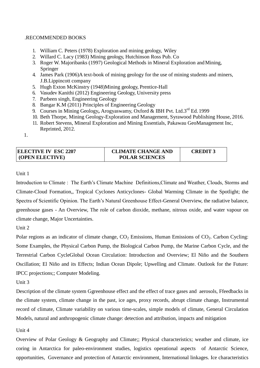#### .RECOMMENDED BOOKS

- 1. William C. Peters (1978) Exploration and mining geology, Wiley
- 2. Willard C. Lacy (1983) Mining geology, Hutchinson Ross Pub. Co
- 3. Roger W. Majoribanks (1997) Geological Methods in Mineral Exploration andMining, Springer
- 4. James Park (1906)A text-book of mining geology for the use of mining students and miners, J.B.Lippincott company
- 5. Hugh Exton McKinstry (1948)Mining geology, Prentice-Hall
- 6. Vasudev Kanithi (2012) Engineering Geology, University press
- 7. Parbeen singh, Engineering Geology
- 8. Bangar K.M (2011) Principles of Engineering Geology
- 9. Courses in Mining Geology**,** Arogyaswamy, Oxford & IBH Pvt. Ltd.3rd Ed. 1999
- 10. Beth Thorpe, Mining Geology-Exploration and Management, Syrawood Publishing House, 2016.
- 11. Robert Stevens, Mineral Exploration and Mining Essentials, Pakawau GeoManagement Inc, Reprinted, 2012.

1.

| <b>ELECTIVE IV ESC 2207</b> | <b>CLIMATE CHANGE AND</b> | <b>CREDIT3</b> |
|-----------------------------|---------------------------|----------------|
| <b>(OPEN ELECTIVE)</b>      | <b>POLAR SCIENCES</b>     |                |

#### Unit 1

Introduction to Climate : The Earth's Climate Machine Definitions,Climate and Weather, Clouds, Storms and Climate-Cloud Formation,, Tropical Cyclones Anticyclones- Global Warming Climate in the Spotlight; the Spectra of Scientific Opinion. The Earth's Natural Greenhouse Effect-General Overview, the radiative balance, greenhouse gases - An Overview, The role of carbon dioxide, methane, nitrous oxide, and water vapour on climate change, Major Uncertainties.

Unit 2

Polar regions as an indicator of climate change,  $CO<sub>2</sub>$  Emissions, Human Emissions of  $CO<sub>2</sub>$ . Carbon Cycling: Some Examples, the Physical Carbon Pump, the Biological Carbon Pump, the Marine Carbon Cycle, and the Terrestrial Carbon CycleGlobal Ocean Circulation: Introduction and Overview; El Niño and the Southern Oscillation; El Niño and its Effects; Indian Ocean Dipole; Upwelling and Climate. Outlook for the Future: IPCC projections;; Computer Modeling.

Unit 3

Description of the climate system Ggreenhouse effect and the effect of trace gases and aerosols, Ffeedbacks in the climate system, climate change in the past, ice ages, proxy records, abrupt climate change, Instrumental record of climate, Climate variability on various time-scales, simple models of climate, General Circulation Models, natural and anthropogenic climate change: detection and attribution, impacts and mitigation

#### Unit 4

Overview of Polar Geology & Geography and Climate;; Physical characteristics; weather and climate, ice coring in Antarctica for paleo-environment studies, logistics operational aspects of Antarctic Science, opportunities, Governance and protection of Antarctic environment, International linkages. Ice characteristics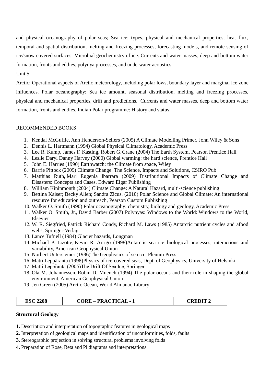and physical oceanography of polar seas; Sea ice: types, physical and mechanical properties, heat flux, temporal and spatial distribution, melting and freezing processes, forecasting models, and remote sensing of ice/snow covered surfaces. Microbial geochemistry of ice. Currents and water masses, deep and bottom water formation, fronts and eddies, polynya processes, and underwater acoustics.

#### Unit 5

Arctic; Operational aspects of Arctic meteorology, including polar lows, boundary layer and marginal ice zone influences. Polar oceanography: Sea ice amount, seasonal distribution, melting and freezing processes, physical and mechanical properties, drift and predictions. Currents and water masses, deep and bottom water formation, fronts and eddies. Indian Polar programme: History and status.

### RECOMMENDED BOOKS

- 1. Kendal McGuffie, Ann Henderson-Sellers (2005) A Climate Modelling Primer, John Wiley & Sons
- 2. Dennis L. Hartmann (1994) Global Physical Climatology, Academic Press
- 3. Lee R. Kump, James F. Kasting, Robert G. Crane (2004) The Earth System, Pearson Prentice Hall
- 4. Leslie Daryl Danny Harvey (2000) Global warming: the hard science, Prentice Hall
- 5. John E. Harries (1990) Earthwatch: the Climate from space, Wiley
- 6. Barrie Pittock (2009) Climate Change: The Science, Impacts and Solutions, CSIRO Pub
- 7. Matthias Ruth, Mari Eugenia Ibarrara (2009) Distributional Impacts of Climate Change and Disasters: Concepts and Cases, Edward Elgar Publishing
- 8. William Kininmonth (2004) Climate Change: A Natural Hazard, multi-science publishing
- 9. Bettina Kaiser; Becky Allen; Sandra Zicus. (2010) Polar Science and Global Climate: An international resource for education and outreach, Pearson Custom Publishing
- 10. Walker O. Smith (1990) Polar oceanography: chemistry, biology and geology, Academic Press
- 11. Walker O. Smith, Jr., David Barber (2007) Polynyas: Windows to the World: Windows to the World, Elsevier
- 12. W. R. Siegfried, Patrick Richard Condy, Richard M. Laws (1985) Antarctic nutrient cycles and afood webs, Springer-Verlag
- 13. Lance Tufnell (1984) Glacier hazards, Longman
- 14. Michael P. Lizotte, Kevin R. Arrigo (1998)Antarctic sea ice: biological processes, interactions and variability, American Geophysical Union
- 15. Norbert Untersteiner (1986)The Geophysics of sea ice, Plenum Press
- 16. Matti Leppäranta (1998)Physics of ice-covered seas, Dept. of Geophysics, University of Helsinki
- 17. Matti Lepprãnta (2005)The Drift Of Sea Ice, Springer
- 18. Ola M. Johannessen, Robin D. Muench (1994) The polar oceans and their role in shaping the global environment, American Geophysical Union
- 19. Jen Green (2005) Arctic Ocean, World Almanac Library

| ' – PRACTICAL -<br><b>ESC 2208</b><br>CORE<br>CREDIT |
|------------------------------------------------------|
|------------------------------------------------------|

#### **Structural Geology**

- **1.** Description and interpretation of topographic features in geological maps
- **2.** Interpretation of geological maps and identification of unconformities, folds, faults
- **3.** Stereographic projection in solving structural problems involving folds
- **4.** Preparation of Rose, Beta and Pi diagrams and interpretations.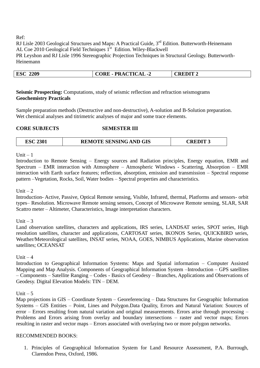Ref:

RJ Lisle 2003 Geological Structures and Maps: A Practical Guide, 3<sup>rd</sup> Edition. Butterworth-Heinemann AL Coe 2010 Geological Field Techniques 1<sup>st</sup> Edition. Wiley-Blackwell PR Leyshon and RJ Lisle 1996 Stereographic Projection Techniques in Structural Geology. Butterworth-Heinemann

### **ESC 2209 CORE - PRACTICAL -2 CREDIT 2**

**Seismic Prospecting:** Computations, study of seismic reflection and refraction seismograms **Geochemistry Practicals**

Sample preparation methods (Destructive and non-destructive), A-solution and B-Solution preparation. Wet chemical analyses and titrimetric analyses of major and some trace elements.

#### **CORE SUBJECTS SEMESTER III**

| <b>REMOTE SENSING AND GIS</b><br><b>CREDIT 3</b><br><b>ESC 2301</b> |  |
|---------------------------------------------------------------------|--|
|---------------------------------------------------------------------|--|

Unit  $-1$ 

Introduction to Remote Sensing – Energy sources and Radiation principles, Energy equation, EMR and Spectrum – EMR interaction with Atmosphere – Atmospheric Windows - Scattering, Absorption – EMR interaction with Earth surface features; reflection, absorption, emission and transmission – Spectral response pattern –Vegetation, Rocks, Soil, Water bodies – Spectral properties and characteristics.

#### Unit  $-2$

Introduction- Active, Passive, Optical Remote sensing, Visible, Infrared, thermal, Platforms and sensors- orbit types– Resolution. Microwave Remote sensing sensors, Concept of Microwave Remote sensing, SLAR, SAR Scattro meter – Altimeter, Characteristics, Image interpretation characters.

Unit  $-3$ 

Land observation satellites, characters and applications, IRS series, LANDSAT series, SPOT series, High resolution satellites, character and applications, CARTOSAT series, IKONOS Series, QUICKBIRD series, Weather/Meteorological satellites, INSAT series, NOAA, GOES, NIMBUS Applications, Marine observation satellites; OCEANSAT

Unit  $-4$ 

Introduction to Geographical Information Systems: Maps and Spatial information – Computer Assisted Mapping and Map Analysis. Components of Geographical Information System –Introduction – GPS satellites – Components – Satellite Ranging – Codes - Basics of Geodesy – Branches, Applications and Observations of Geodesy. Digital Elevation Models: TIN – DEM.

Unit  $-5$ 

Map projections in GIS – Coordinate System – Georeferencing – Data Structures for Geographic Information Systems – GIS Entities – Point, Lines and Polygon.Data Quality, Errors and Natural Variation: Sources of error – Errors resulting from natural variation and original measurements. Errors arise through processing – Problems and Errors arising from overlay and boundary intersections – raster and vector maps; Errors resulting in raster and vector maps – Errors associated with overlaying two or more polygon networks.

#### RECOMMENDED BOOKS:

1. Principles of Geographical Information System for Land Resource Assessment, P.A. Burrough, Clarendon Press, Oxford, 1986.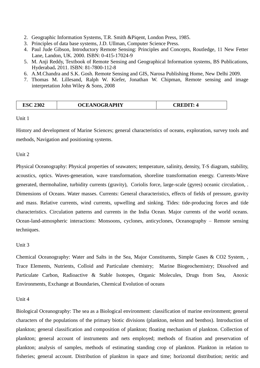- 2. Geographic Information Systems, T.R. Smith &Piqent, London Press, 1985.
- 3. Principles of data base systems, J.D. Ullman, Computer Science Press.
- 4. Paul Jude Gibson, Introductory Remote Sensing: Principles and Concepts, Routledge, 11 New Fetter Lane, Landon, UK. 2000. ISBN: 0-415-17024-9
- 5. M. Anji Reddy, Textbook of Remote Sensing and Geographical Information systems, BS Publications, Hyderabad**.** 2011. ISBN: 81-7800-112-8
- 6. A.M.Chandra and S.K. Gosh. Remote Sensing and GIS, Narosa Publishing Home, New Delhi 2009.
- 7. Thomas M. Lillesand, Ralph W. Kiefer, Jonathan W. Chipman, Remote sensing and image interpretation John Wiley & Sons, 2008

| <b>ESC 2302</b> | <b>OCEANOGRAPHY</b> | <b>CREDIT:</b> |
|-----------------|---------------------|----------------|
|-----------------|---------------------|----------------|

History and development of Marine Sciences; general characteristics of oceans, exploration, survey tools and methods, Navigation and positioning systems.

Unit 2

Physical Oceanography: Physical properties of seawaters; temperature, salinity, density, T-S diagram, stability, acoustics, optics. Waves-generation, wave transformation, shoreline transformation energy. Currents-Wave generated, thermohaline, turbidity currents (gravity), Coriolis force, large-scale (gyres) oceanic circulation, . Dimensions of Oceans. Water masses. Currents: General characteristics, effects of fields of pressure, gravity and mass. Relative currents, wind currents, upwelling and sinking. Tides: tide-producing forces and tide characteristics. Circulation patterns and currents in the India Ocean. Major currents of the world oceans. Ocean-land-atmospheric interactions: Monsoons, cyclones, anticyclones, Oceanography – Remote sensing techniques.

Unit 3

Chemical Oceanography: Water and Salts in the Sea, Major Constituents, Simple Gases & CO2 System, , Trace Elements, Nutrients, Colloid and Particulate chemistry; Marine Biogeochemistry; Dissolved and Particulate Carbon, Radioactive & Stable Isotopes, Organic Molecules, Drugs from Sea, Anoxic Environments, Exchange at Boundaries, Chemical Evolution of oceans

Unit 4

Biological Oceanography: The sea as a Biological environment: classification of marine environment; general characters of the populations of the primary biotic divisions (plankton, nekton and benthos). Introduction of plankton; general classification and composition of plankton; floating mechanism of plankton. Collection of plankton; general account of instruments and nets employed; methods of fixation and preservation of plankton; analysis of samples, methods of estimating standing crop of plankton. Plankton in relation to fisheries; general account. Distribution of plankton in space and time; horizontal distribution; neritic and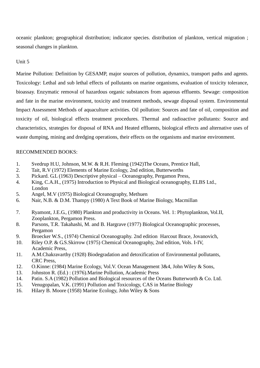oceanic plankton; geographical distribution; indicator species. distribution of plankton, vertical migration ; seasonal changes in plankton.

#### Unit 5

Marine Pollution: Definition by GESAMP, major sources of pollution, dynamics, transport paths and agents. Toxicology: Lethal and sub lethal effects of pollutants on marine organisms, evaluation of toxicity tolerance, bioassay. Enzymatic removal of hazardous organic substances from aqueous effluents. Sewage: composition and fate in the marine environment, toxicity and treatment methods, sewage disposal system. Environmental Impact Assessment Methods of aquaculture activities. Oil pollution: Sources and fate of oil, composition and toxicity of oil, biological effects treatment procedures. Thermal and radioactive pollutants: Source and characteristics, strategies for disposal of RNA and Heated effluents, biological effects and alternative uses of waste dumping, mining and dredging operations, their effects on the organisms and marine environment.

- 1. Svedrup H.U, Johnson, M.W. & R.H. Fleming (1942)The Oceans, Prentice Hall,
- 2. Tait, R.V (1972) Elements of Marine Ecology, 2nd edition, Butterworths
- 3. Pickard. G.L (1963) Descriptive physical Oceanography, Pergamon Press,
- 4. King, C.A.H., (1975) Introduction to Physical and Biological oceanography, ELBS Ltd., London
- 5. Angel, M.V (1975) Biological Oceanography, Methuen
- 6. Nair, N.B. & D.M. Thampy (1980) A Text Book of Marine Biology, Macmillan
- 7. Ryamont, J.E.G., (1980) Plankton and productivity in Oceans. Vel. 1: Phytoplankton, Vol.II, Zooplankton, Pergamon Press.
- 8. Parsons, T.R. Takahashi, M. and B. Hargrave (1977) Biological Oceanographic processes, Pergamon
- 9. Broecker W.S., (1974) Chemical Oceanography. 2nd edition Harcout Brace, Jovanovich,
- 10. Riley O.P. & G.S.Skirrow (1975) Chemical Oceanography, 2nd edition, Vols. I-IV, Academic Press,
- 11. A.M.Chakravarthy (1928) Biodegradation and detoxification of Environmental pollutants, CRC Press,
- 12. O.Kinne: (1984) Marine Ecology, Vol.V. Ocean Management 3&4, John Wiley & Sons,
- 13. Johnston R. (Ed.) : (1976).Marine Pollution, Academic Press
- 14. Patin. S.A (1982) Pollution and Biological resources of the Oceans Butterworth & Co. Ltd.
- 15. Venugopalan, V.K. (1991) Pollution and Toxicology, CAS in Marine Biology
- 16. Hilary B. Moore (1958) Marine Ecology, John Wiley & Sons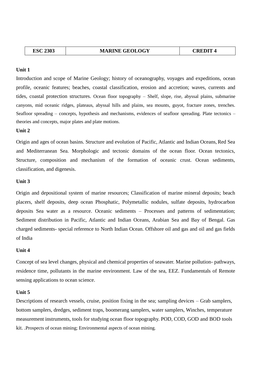Introduction and scope of Marine Geology; history of oceanography, voyages and expeditions, ocean profile, oceanic features; beaches, coastal classification, erosion and accretion; waves, currents and tides, coastal protection structures. Ocean floor topography – Shelf, slope, rise, abyssal plains, submarine canyons, mid oceanic ridges, plateaus, abyssal hills and plains, sea mounts, guyot, fracture zones, trenches. Seafloor spreading – concepts, hypothesis and mechanisms, evidences of seafloor spreading. Plate tectonics – theories and concepts, major plates and plate motions.

#### **Unit 2**

Origin and ages of ocean basins. Structure and evolution of Pacific, Atlantic and Indian Oceans,Red Sea and Mediterranean Sea. Morphologic and tectonic domains of the ocean floor. Ocean tectonics, Structure, composition and mechanism of the formation of oceanic crust. Ocean sediments, classification, and digenesis.

#### **Unit 3**

Origin and depositional system of marine resources; Classification of marine mineral deposits; beach placers, shelf deposits, deep ocean Phosphatic, Polymetallic nodules, sulfate deposits, hydrocarbon deposits Sea water as a resource. Oceanic sediments – Processes and patterns of sedimentation; Sediment distribution in Pacific, Atlantic and Indian Oceans, Arabian Sea and Bay of Bengal. Gas charged sediments- special reference to North Indian Ocean. Offshore oil and gas and oil and gas fields of India

#### **Unit 4**

Concept of sea level changes, physical and chemical properties of seawater. Marine pollution- pathways, residence time, pollutants in the marine environment. Law of the sea, EEZ. Fundamentals of Remote sensing applications to ocean science.

#### **Unit 5**

Descriptions of research vessels, cruise, position fixing in the sea; sampling devices – Grab samplers, bottom samplers, dredges, sediment traps, boomerang samplers, water samplers, Winches, temperature measurement instruments, tools for studying ocean floor topography. POD, COD, GOD and BOD tools kit. .Prospects of ocean mining; Environmental aspects of ocean mining.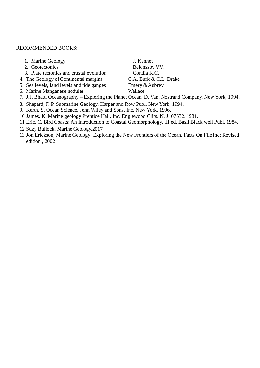#### RECOMMENDED BOOKS:

- 1. Marine Geology J. Kennet
- 
- 3. Plate tectonics and crustal evolution Condia K.C.
- 4. The Geology of Continental margins C.A. Burk & C.L. Drake
- 5. Sea levels, land levels and tide ganges Emery & Aubrey
- 6. Marine Manganese nodules Wallace

2. Geotectonics Belonssov V.V.

- 7. J.J. Bhatt. Oceanography Exploring the Planet Ocean. D. Van. Nostrand Company, New York, 1994.
- 8. Shepard, F. P. Submarine Geology, Harper and Row Publ. New York, 1994.
- 9. Kerth. S, Ocean Science, John Wiley and Sons. Inc. New York. 1996.
- 10.James, K, Marine geology Prentice Hall, Inc. Englewood Clifs. N. J. 07632. 1981.
- 11.Eric. C. Bird Coasts: An Introduction to Coastal Geomorphology, III ed. Basil Black well Publ. 1984.
- 12.Suzy Bullock, Marine Geology,2017
- 13.Jon Erickson, Marine Geology: Exploring the New Frontiers of the Ocean, Facts On File Inc; Revised edition , 2002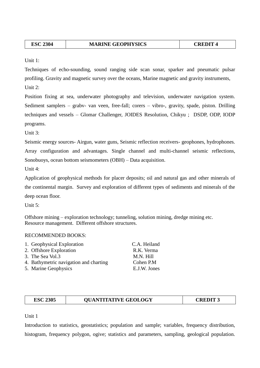| 2304<br><b>ESC</b> | <b>MARINE GEOPHYSICS</b> | $\blacksquare$<br>$\mathbf{r}$ |
|--------------------|--------------------------|--------------------------------|
|--------------------|--------------------------|--------------------------------|

Unit 1:

Techniques of echo-sounding, sound ranging side scan sonar, sparker and pneumatic pulsar profiling. Gravity and magnetic survey over the oceans, Marine magnetic and gravity instruments, Unit  $2$ :

Position fixing at sea, underwater photography and television, underwater navigation system. Sediment samplers – grabv- van veen, free-fall; corers – vibro-, gravity, spade, piston. Drilling techniques and vessels – Glomar Challenger, JOIDES Resolution, Chikyu ; DSDP, ODP, IODP programs.

Unit 3:

Seismic energy sources- Airgun, water guns, Seismic reflection receivers- geophones, hydrophones. Array configuration and advantages. Single channel and multi-channel seismic reflections, Sonobuoys, ocean bottom seismometers (OBH) – Data acquisition.

Unit 4:

Application of geophysical methods for placer deposits; oil and natural gas and other minerals of the continental margin. Survey and exploration of different types of sediments and minerals of the deep ocean floor.

Unit  $5:$ 

Offshore mining – exploration technology; tunneling, solution mining, dredge mining etc. Resource management. Different offshore structures.

#### RECOMMENDED BOOKS:

| 1. Geophysical Exploration             | C.A. Heiland |
|----------------------------------------|--------------|
| 2. Offshore Exploration                | R.K. Verma   |
| 3. The Sea Vol.3                       | M.N. Hill    |
| 4. Bathymetric navigation and charting | Cohen P.M    |
| 5. Marine Geophysics                   | E.J.W. Jones |

| 2305<br>ESC | <b>QUANTITATIVE GEOLOGY</b> | $\mathbf{C}\mathbf{REDI}$ T $\hspace{-.07cm}\Gamma$ |
|-------------|-----------------------------|-----------------------------------------------------|
|-------------|-----------------------------|-----------------------------------------------------|

Unit 1

Introduction to statistics, geostatistics; population and sample; variables, frequency distribution, histogram, frequency polygon, ogive; statistics and parameters, sampling, geological population.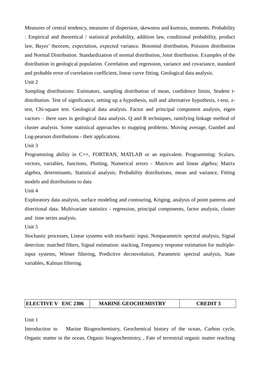Measures of central tendency, measures of dispersion, skewness and kurtosis, moments. Probability : Empirical and theoretical / statistical probability, addition law, conditional probability, product law, Bayes' theorem, expectation, expected variance. Binomial distribution, Poission distribution and Normal Distribution. Standardization of normal distribution, Joint distribution. Examples of the distribution in geological population. Correlation and regression, variance and covariance, standard and probable error of correlation coefficient, linear curve fitting. Geological data analysis.

Unit 2

Sampling distributions: Estimators, sampling distribution of mean, confidence limits, Student tdistribution. Test of significance, setting up a hypothesis, null and alternative hypothesis, t-test, ztest, Chi-square test. Geological data analysis. Factor and principal component analysis, eigen vactors – there uses in geological data analysis. Q and R techniques, ramifying linkage method of cluster analysis. Some statistical approaches to mapping problems. Moving average, Gumbel and Log-pearson distributions - their applications.

Unit 3

Programming ability in C++, FORTRAN, MATLAB or an equivalent. Programming: Scalars, vectors, variables, functions, Plotting, Numerical errors - Matrices and linear algebra; Matrix algebra, determinants, Statistical analysis; Probability distributions, mean and variance, Fitting models and distributions to data

Unit 4

Exploratory data analysis, surface modeling and contouring, Kriging, analysis of point patterns and directional data. Multivariate statistics - regression, principal components, factor analysis, cluster and time series analysis.

Unit 5

Stochastic processes, Linear systems with stochastic input, Nonparametric spectral analysis, Signal detection: matched filters, Signal estimation: stacking, Frequency response estimation for multipleinput systems, Wiener filtering, Predictive deconvolution, Parametric spectral analysis, State variables, Kalman filtering.

#### **ELECTIVE V ESC 2306 MARINE GEOCHEMISTRY CREDIT 3**

Unit 1

Introduction to Marine Biogeochemistry, Geochemical history of the ocean, Carbon cycle, Organic matter in the ocean, Organic biogeochemistry, , Fate of terrestrial organic matter reaching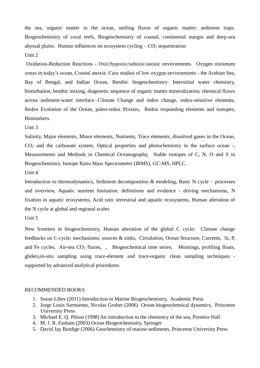the sea, organic matter in the ocean, settling fluxes of organic matter; sediment traps. Biogeochemistry of coral reefs, Biogeochemistry of coastal, continental margin and deep-sea abyssal plains. Human influences on ecosystem cycling  $-CO<sub>2</sub>$  sequestration Unit 2

Oxidation-Reduction Reactions - Oxic/hypoxic/suboxic/anoxic environments. Oxygen minimum zones in today's ocean, Coastal anoxia. Case studies of low oxygen environments - the Arabian Sea, Bay of Bengal, and Indian Ocean, Benthic biogeochemistry: Interstitial water chemistry, bioturbation, benthic mixing, diagenetic sequence of organic matter mineralization; chemical fluxes across sediment-water interface.–Climate Change and redox change, redox-sensitive elements, Redox Evolution of the Ocean, paleo-redox Proxies, Redox responding elements and isotopes; Biomarkers.

Unit 3

Salinity, Major elements, Minor elements, Nutrients, Trace elements, dissolved gases in the Ocean,  $CO<sub>2</sub>$  and the carbonate system, Optical properties and photochemistry in the surface ocean -, Measurements and Methods in Chemical Oceanography, Stable isotopes of C, N, O and S in Biogeochemistry. Isotope Ratio Mass Spectrometer (IRMS), GC-MS, HPLC.

Unit 4

Introduction to thermodynamics, Sediment decomposition & modeling, Basic N cycle – processes and overview, Aquatic nutrient limitation: definitions and evidence - driving mechanisms, N fixation in aquatic ecosystems, Acid rain: terrestrial and aquatic ecosystems, Human alteration of the N cycle at global and regional scales

Unit 5

New frontiers in biogeochemistry, Human alteration of the global C cycle: Climate change feedbacks on C-cycle; mechanisms; sources & sinks, Circulation, Ocean Structure, Currents, Si, P, and Fe cycles, Air-sea  $CO<sub>2</sub>$  fluxes, , Biogeochemical time series, Moorings, profiling floats, gliders,in-situ sampling using trace-element and trace-organic clean sampling techniques supported by advanced analytical procedures.

- 1. Susan Libes (2011) Introduction to Marine Biogeochemistry, Academic Press
- 2. Jorge Louis Sarmiento, Nicolas Gruber (2006) Ocean biogeochemical dynamics, Princeton University Press
- 3. Michael E. Q. Pilson (1998) An introduction to the chemistry of the sea, Prentice Hall
- 4. M. J. R. Fasham (2003) Ocean Biogeochemistry, Springer
- 5. David Jay Burdige (2006) Geochemistry of marine sediments, Princeton University Press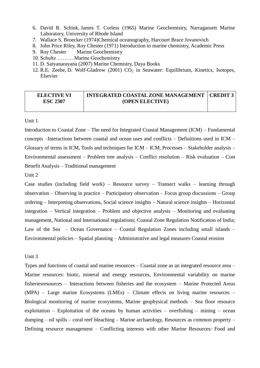- 6. David R. Schink, James T. Corless (1965) Marine Geochemistry, Narragansett Marine Laboratory, University of Rhode Island
- 7. Wallace S. Broecker (1974)Chemical oceanography, Harcourt Brace Jovanovich
- 8. John Price Riley, Roy Chester (1971) Introduction to marine chemistry, Academic Press
- 9. Roy Chester Marine Geochemistry
- 10. Schultz ……….Marine Geochemistry
- 11. D. Satyanarayana (2007) Marine Chemistry, Daya Books
- 12. R.E. Zeebe, D. Wolf-Gladrow  $(2001)$  CO<sub>2</sub> in Seawater: Equilibrium, Kinetics, Isotopes, Elsevier

#### **ELECTIVE VI ESC 2307 INTEGRATED COASTAL ZONE MANAGEMENT (OPEN ELECTIVE) CREDIT 3**

#### Unit 1

Introduction to Coastal Zone – The need for Integrated Coastal Management (ICM) – Fundamental concepts –Interactions between coastal and ocean uses and conflicts – Definitions used in ICM – Glossary of terms in ICM, Tools and techniques for ICM – ICM, Processes – Stakeholder analysis – Environmental assessment – Problem tree analysis – Conflict resolution – Risk evaluation – Cost Benefit Analysis – Traditional management

Unit 2

Case studies (including field work) – Resource survey – Transect walks – learning through observation – Observing in practice – Participatory observation – Focus group discussions – Group ordering – Interpreting observations, Social science insights – Natural science insights – Horizontal integration – Vertical integration – Problem and objective analysis – Monitoring and evaluating management, National and International regulations; Coastal Zone Regulation Notification of India; Law of the Sea – Ocean Governance – Coastal Regulation Zones including small islands – Environmental policies – Spatial planning – Administrative and legal measures Coastal erosion

#### Unit 3

Types and functions of coastal and marine resources – Coastal zone as an integrated resource area – Marine resources: biotic, mineral and energy resources, Environmental variability on marine fisheriesresources – Interactions between fisheries and the ecosystem – Marine Protected Areas (MPA) – Large marine Ecosystems (LMEs) – Climate effects on living marine resources – Biological monitoring of marine ecosystems, Marine geophysical methods – Sea floor resource exploitation – Exploitation of the oceans by human activities – overfishing – mining – ocean dumping – oil spills – coral reef bleaching – Marine archaeology, Resources as common property – Defining resource management – Conflicting interests with other Marine Resources: Food and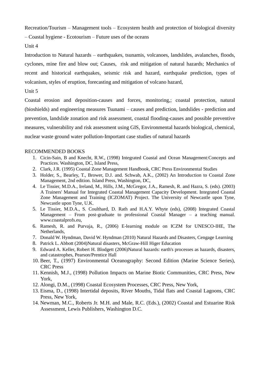Recreation/Tourism – Management tools – Ecosystem health and protection of biological diversity

– Coastal hygiene - Ecotourism – Future uses of the oceans

Unit 4

Introduction to Natural hazards – earthquakes, tsunamis, volcanoes, landslides, avalanches, floods, cyclones, mine fire and blow out; Causes, risk and mitigation of natural hazards; Mechanics of recent and historical earthquakes, seismic risk and hazard, earthquake prediction, types of volcanism, styles of eruption, forecasting and mitigation of volcano hazard,

Unit 5

Coastal erosion and deposition-causes and forces, monitoring,; coastal protection, natural (bioshields) and engineering measures Tsunami – causes and prediction, landslides - prediction and prevention, landslide zonation and risk assessment, coastal flooding-causes and possible preventive measures, vulnerability and risk assessment using GIS, Environmental hazards biological, chemical, nuclear waste ground water pollution-Important case studies of natural hazards

- 1. Cicin-Sain, B and Knecht, R.W., (1998) Integrated Coastal and Ocean Management:Concepts and Practices. Washington, DC, Island Press,
- 2. Clark, J.R. (1995) Coastal Zone Management Handbook, CRC Press Environmental Studies
- 3. Holder, S., Bearley, T., Brower, D.J. and. Schwab, A.K., (2002) An Introduction to Coastal Zone Management, 2nd edition. Island Press, Washington, DC,
- 4. Le Tissier, M.D.A., Ireland, M., Hills, J.M., McGregor, J.A., Ramesh, R. and Hazra, S. (eds). (2003) A Trainers' Manual for Integrated Coastal Management Capacity Development. Integrated Coastal Zone Management and Training (ICZOMAT) Project. The University of Newcastle upon Tyne, Newcastle upon Tyne, U.K.
- 5. Le Tissier, M.D.A., S. Coulthard, D. Rath and H.A.Y. Whyte (eds), (2008) Integrated Coastal Management – From post-graduate to professional Coastal Manager – a teaching manual. www.coastalprofs.eu,
- 6. Ramesh, R. and Purvaja, R., (2006) E-learning module on ICZM for UNESCO-IHE, The Netherlands,
- 7. Donald W. Hyndman, David W. Hyndman (2010) Natural Hazards and Disasters, Cengage Learning
- 8. Patrick L. Abbott (2004)Natural disasters, McGraw-Hill Higer Education
- 9. Edward A. Keller, Robert H. Blodgett (2006)Natural hazards: earth's processes as hazards, disasters, and catastrophes, Pearson/Prentice Hall
- 10. Beer, T., (1997) Environmental Oceanography: Second Edition (Marine Science Series), CRC Press
- 11. Kennish, M.J., (1998) Pollution Impacts on Marine Biotic Communities, CRC Press, New York,
- 12. Alongi, D.M., (1998) Coastal Ecosystem Processes, CRC Press, New York,
- 13. Eisma, D., (1998) Intertidal deposits, River Mouths, Tidal flats and Coastal Lagoons, CRC Press, New York,
- 14. Newman, M.C., Roberts Jr. M.H. and Male, R.C. (Eds.), (2002) Coastal and Estuarine Risk Assessment, Lewis Publishers, Washington D.C.